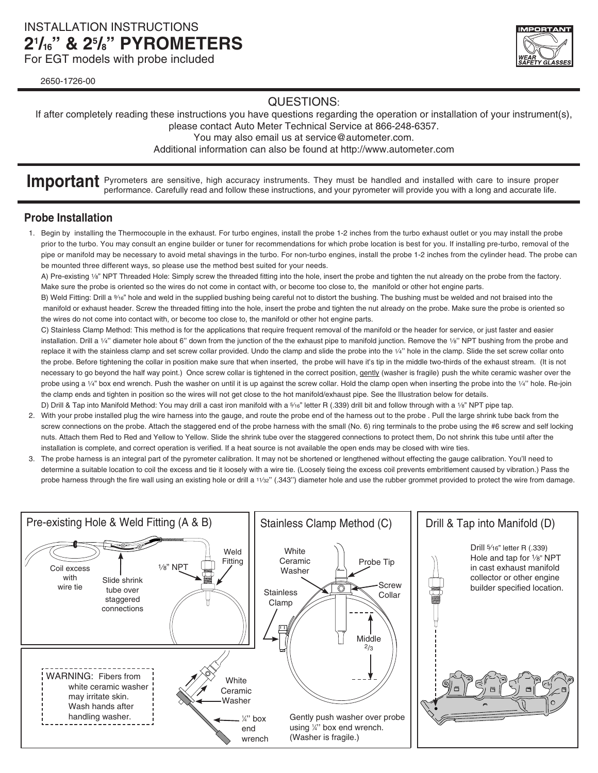## INSTALLATION INSTRUCTIONS **21 /16" & 25 /8" PYROMETERS**

For EGT models with probe included

2650-1726-00



## QUESTIONS:

If after completely reading these instructions you have questions regarding the operation or installation of your instrument(s), please contact Auto Meter Technical Service at 866-248-6357.

You may also email us at service@autometer.com.

Additional information can also be found at http://www.autometer.com

**Important** Pyrometers are sensitive, high accuracy instruments. They must be handled and installed with care to insure proper performance. Carefully read and follow these instructions, and your pyrometer will provide you with a long and accurate life.

### **Probe Installation**

1. Begin by installing the Thermocouple in the exhaust. For turbo engines, install the probe 1-2 inches from the turbo exhaust outlet or you may install the probe prior to the turbo. You may consult an engine builder or tuner for recommendations for which probe location is best for you. If installing pre-turbo, removal of the pipe or manifold may be necessary to avoid metal shavings in the turbo. For non-turbo engines, install the probe 1-2 inches from the cylinder head. The probe can be mounted three different ways, so please use the method best suited for your needs.

A) Pre-existing 1/8" NPT Threaded Hole: Simply screw the threaded fitting into the hole, insert the probe and tighten the nut already on the probe from the factory. Make sure the probe is oriented so the wires do not come in contact with, or become too close to, the manifold or other hot engine parts.

B) Weld Fitting: Drill a %<sup>6</sup>" hole and weld in the supplied bushing being careful not to distort the bushing. The bushing must be welded and not braised into the manifold or exhaust header. Screw the threaded fitting into the hole, insert the probe and tighten the nut already on the probe. Make sure the probe is oriented so the wires do not come into contact with, or become too close to, the manifold or other hot engine parts.

C) Stainless Clamp Method: This method is for the applications that require frequent removal of the manifold or the header for service, or just faster and easier installation. Drill a 1/4" diameter hole about 6" down from the junction of the the exhaust pipe to manifold junction. Remove the 1/8" NPT bushing from the probe and replace it with the stainless clamp and set screw collar provided. Undo the clamp and slide the probe into the 1/4" hole in the clamp. Slide the set screw collar onto the probe. Before tightening the collar in position make sure that when inserted, the probe will have it's tip in the middle two-thirds of the exhaust stream. (It is not necessary to go beyond the half way point.) Once screw collar is tightened in the correct position, gently (washer is fragile) push the white ceramic washer over the probe using a 1/4" box end wrench. Push the washer on until it is up against the screw collar. Hold the clamp open when inserting the probe into the 1/4" hole. Re-join the clamp ends and tighten in position so the wires will not get close to the hot manifold/exhaust pipe. See the Illustration below for details. D) Drill & Tap into Manifold Method: You may drill a cast iron manifold with a 5/16" letter R (.339) drill bit and follow through with a 1/8" NPT pipe tap.

- 2. With your probe installed plug the wire harness into the gauge, and route the probe end of the harness out to the probe . Pull the large shrink tube back from the screw connections on the probe. Attach the staggered end of the probe harness with the small (No. 6) ring terminals to the probe using the #6 screw and self locking nuts. Attach them Red to Red and Yellow to Yellow. Slide the shrink tube over the staggered connections to protect them, Do not shrink this tube until after the installation is complete, and correct operation is verified. If a heat source is not available the open ends may be closed with wire ties.
- 3. The probe harness is an integral part of the pyrometer calibration. It may not be shortened or lengthened without effecting the gauge calibration. You'll need to determine a suitable location to coil the excess and tie it loosely with a wire tie. (Loosely tieing the excess coil prevents embritlement caused by vibration.) Pass the probe harness through the fire wall using an existing hole or drill a 11/32" (.343") diameter hole and use the rubber grommet provided to protect the wire from damage.